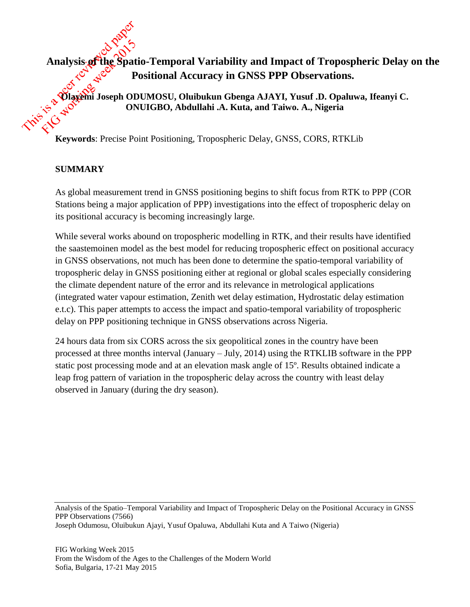# **Analysis of the Spatio-Temporal Variability and Impact of Tropospheric Delay on the Positional Accuracy in GNSS PPP Observations.**

**Olayemi Joseph ODUMOSU, Oluibukun Gbenga AJAYI, Yusuf .D. Opaluwa, Ifeanyi C. ONUIGBO, Abdullahi .A. Kuta, and Taiwo. A., Nigeria**

**Keywords**: Precise Point Positioning, Tropospheric Delay, GNSS, CORS, RTKLib

## **SUMMARY**

As global measurement trend in GNSS positioning begins to shift focus from RTK to PPP (COR Stations being a major application of PPP) investigations into the effect of tropospheric delay on its positional accuracy is becoming increasingly large.

While several works abound on tropospheric modelling in RTK, and their results have identified the saastemoinen model as the best model for reducing tropospheric effect on positional accuracy in GNSS observations, not much has been done to determine the spatio-temporal variability of tropospheric delay in GNSS positioning either at regional or global scales especially considering the climate dependent nature of the error and its relevance in metrological applications (integrated water vapour estimation, Zenith wet delay estimation, Hydrostatic delay estimation e.t.c). This paper attempts to access the impact and spatio-temporal variability of tropospheric delay on PPP positioning technique in GNSS observations across Nigeria.

24 hours data from six CORS across the six geopolitical zones in the country have been processed at three months interval (January – July, 2014) using the RTKLIB software in the PPP static post processing mode and at an elevation mask angle of 15º. Results obtained indicate a leap frog pattern of variation in the tropospheric delay across the country with least delay observed in January (during the dry season).

Analysis of the Spatio–Temporal Variability and Impact of Tropospheric Delay on the Positional Accuracy in GNSS PPP Observations (7566) Joseph Odumosu, Oluibukun Ajayi, Yusuf Opaluwa, Abdullahi Kuta and A Taiwo (Nigeria)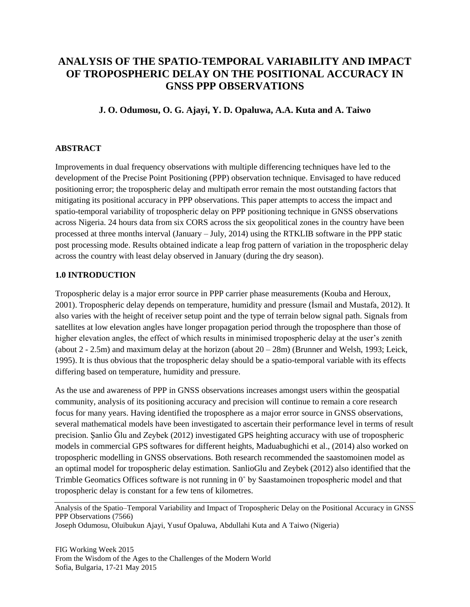## **ANALYSIS OF THE SPATIO-TEMPORAL VARIABILITY AND IMPACT OF TROPOSPHERIC DELAY ON THE POSITIONAL ACCURACY IN GNSS PPP OBSERVATIONS**

#### **J. O. Odumosu, O. G. Ajayi, Y. D. Opaluwa, A.A. Kuta and A. Taiwo**

#### **ABSTRACT**

Improvements in dual frequency observations with multiple differencing techniques have led to the development of the Precise Point Positioning (PPP) observation technique. Envisaged to have reduced positioning error; the tropospheric delay and multipath error remain the most outstanding factors that mitigating its positional accuracy in PPP observations. This paper attempts to access the impact and spatio-temporal variability of tropospheric delay on PPP positioning technique in GNSS observations across Nigeria. 24 hours data from six CORS across the six geopolitical zones in the country have been processed at three months interval (January – July, 2014) using the RTKLIB software in the PPP static post processing mode. Results obtained indicate a leap frog pattern of variation in the tropospheric delay across the country with least delay observed in January (during the dry season).

#### **1.0 INTRODUCTION**

Tropospheric delay is a major error source in PPP carrier phase measurements (Kouba and Heroux, 2001). Tropospheric delay depends on temperature, humidity and pressure (İsmail and Mustafa, 2012). It also varies with the height of receiver setup point and the type of terrain below signal path. Signals from satellites at low elevation angles have longer propagation period through the troposphere than those of higher elevation angles, the effect of which results in minimised tropospheric delay at the user's zenith (about  $2 - 2.5$ m) and maximum delay at the horizon (about  $20 - 28$ m) (Brunner and Welsh, 1993; Leick, 1995). It is thus obvious that the tropospheric delay should be a spatio-temporal variable with its effects differing based on temperature, humidity and pressure.

As the use and awareness of PPP in GNSS observations increases amongst users within the geospatial community, analysis of its positioning accuracy and precision will continue to remain a core research focus for many years. Having identified the troposphere as a major error source in GNSS observations, several mathematical models have been investigated to ascertain their performance level in terms of result precision. Şanlio Ğlu and Zeybek (2012) investigated GPS heighting accuracy with use of tropospheric models in commercial GPS softwares for different heights, Maduabughichi et al., (2014) also worked on tropospheric modelling in GNSS observations. Both research recommended the saastomoinen model as an optimal model for tropospheric delay estimation. SanlioGlu and Zeybek (2012) also identified that the Trimble Geomatics Offices software is not running in 0˚ by Saastamoinen tropospheric model and that tropospheric delay is constant for a few tens of kilometres.

Joseph Odumosu, Oluibukun Ajayi, Yusuf Opaluwa, Abdullahi Kuta and A Taiwo (Nigeria)

Analysis of the Spatio–Temporal Variability and Impact of Tropospheric Delay on the Positional Accuracy in GNSS PPP Observations (7566)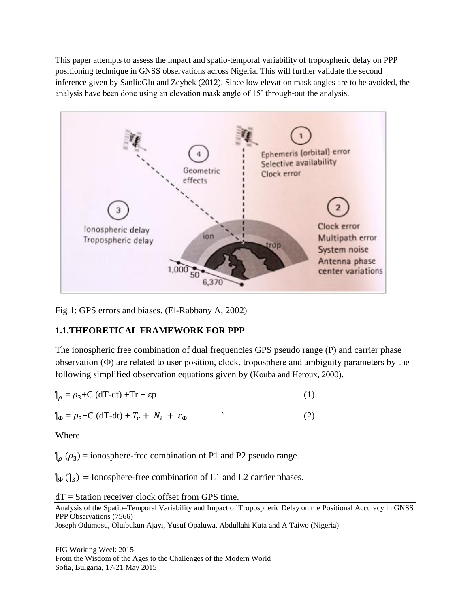This paper attempts to assess the impact and spatio-temporal variability of tropospheric delay on PPP positioning technique in GNSS observations across Nigeria. This will further validate the second inference given by SanlioGlu and Zeybek (2012). Since low elevation mask angles are to be avoided, the analysis have been done using an elevation mask angle of 15˚ through-out the analysis.



Fig 1: GPS errors and biases. (El-Rabbany A, 2002)

## **1.1.THEORETICAL FRAMEWORK FOR PPP**

The ionospheric free combination of dual frequencies GPS pseudo range (P) and carrier phase observation (Ф) are related to user position, clock, troposphere and ambiguity parameters by the following simplified observation equations given by (Kouba and Heroux, 2000).

$$
\gamma_{\rho} = \rho_3 + C (dT - dt) + Tr + \epsilon p \tag{1}
$$

 $\int_{\Phi} = \rho_3 + C \left( dT - dt \right) + T_r + N_\lambda + \varepsilon_\Phi$  (2)

Where

 $\int_{0}^{1} (\rho_{3})$  = ionosphere-free combination of P1 and P2 pseudo range.

 $\phi_{\phi}(\lambda_3)$  = Ionosphere-free combination of L1 and L2 carrier phases.

 $dT =$  Station receiver clock offset from GPS time.

Analysis of the Spatio–Temporal Variability and Impact of Tropospheric Delay on the Positional Accuracy in GNSS PPP Observations (7566)

Joseph Odumosu, Oluibukun Ajayi, Yusuf Opaluwa, Abdullahi Kuta and A Taiwo (Nigeria)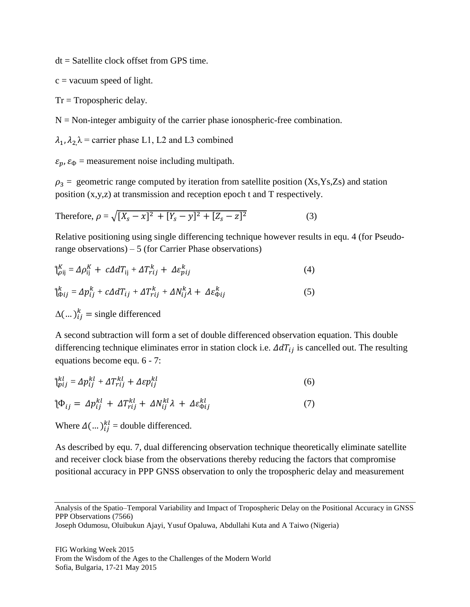dt = Satellite clock offset from GPS time.

 $c = vacuum$  speed of light.

 $Tr = Tropospheric$  delay.

 $N =$  Non-integer ambiguity of the carrier phase ionospheric-free combination.

 $\lambda_1$ ,  $\lambda_2 \lambda$  = carrier phase L1, L2 and L3 combined

 $\varepsilon_p$ ,  $\varepsilon_{\Phi}$  = measurement noise including multipath.

 $\rho_3$  = geometric range computed by iteration from satellite position (Xs,Ys,Zs) and station position (x,y,z) at transmission and reception epoch t and T respectively.

Therefore, 
$$
\rho = \sqrt{[X_s - x]^2 + [Y_s - y]^2 + [Z_s - z]^2}
$$
 (3)

Relative positioning using single differencing technique however results in equ. 4 (for Pseudorange observations) – 5 (for Carrier Phase observations)

$$
\mathfrak{f}_{\rho ij}^{K} = \Delta \rho_{ij}^{K} + c \Delta d T_{ij} + \Delta T_{rij}^{k} + \Delta \varepsilon_{pij}^{k}
$$
\n
$$
\mathfrak{f}_{\Phi ij}^{k} = \Delta p_{ij}^{k} + c \Delta d T_{ij} + \Delta T_{rij}^{k} + \Delta N_{ij}^{k} \lambda + \Delta \varepsilon_{\Phi ij}^{k}
$$
\n
$$
\Delta (\dots)_{ij}^{k} = \text{single differentiated}
$$
\n(5)

A second subtraction will form a set of double differenced observation equation. This double differencing technique eliminates error in station clock i.e.  $\Delta dT_{ij}$  is cancelled out. The resulting equations become equ. 6 - 7:

$$
\mathfrak{f}_{pij}^{kl} = \Delta p_{ij}^{kl} + \Delta T_{rij}^{kl} + \Delta \varepsilon p_{ij}^{kl} \tag{6}
$$

$$
\mathcal{P}_{ij} = \Delta p_{ij}^{kl} + \Delta T_{rij}^{kl} + \Delta N_{ij}^{kl} \lambda + \Delta \varepsilon_{\Phi ij}^{kl}
$$
\n(7)

Where  $\Delta(\dots)_{ij}^{kl}$  = double differenced.

As described by equ. 7, dual differencing observation technique theoretically eliminate satellite and receiver clock biase from the observations thereby reducing the factors that compromise positional accuracy in PPP GNSS observation to only the tropospheric delay and measurement

Analysis of the Spatio–Temporal Variability and Impact of Tropospheric Delay on the Positional Accuracy in GNSS PPP Observations (7566)

Joseph Odumosu, Oluibukun Ajayi, Yusuf Opaluwa, Abdullahi Kuta and A Taiwo (Nigeria)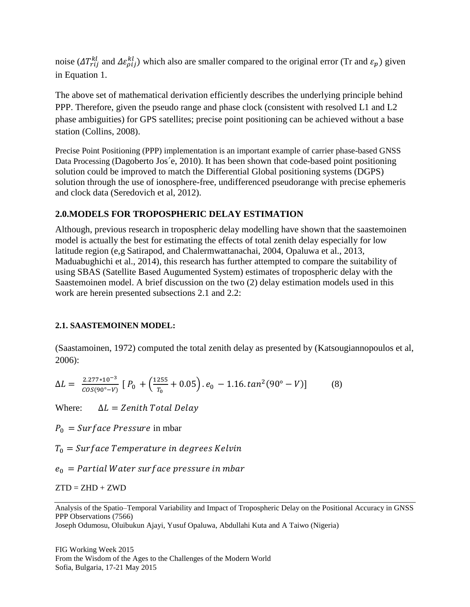noise ( $\Delta T_{rij}^{kl}$  and  $\Delta \varepsilon_{pij}^{kl}$ ) which also are smaller compared to the original error (Tr and  $\varepsilon_p$ ) given in Equation 1.

The above set of mathematical derivation efficiently describes the underlying principle behind PPP. Therefore, given the pseudo range and phase clock (consistent with resolved L1 and L2 phase ambiguities) for GPS satellites; precise point positioning can be achieved without a base station (Collins, 2008).

Precise Point Positioning (PPP) implementation is an important example of carrier phase-based GNSS Data Processing (Dagoberto Jos´e, 2010). It has been shown that code-based point positioning solution could be improved to match the Differential Global positioning systems (DGPS) solution through the use of ionosphere-free, undifferenced pseudorange with precise ephemeris and clock data (Seredovich et al, 2012).

## **2.0.MODELS FOR TROPOSPHERIC DELAY ESTIMATION**

Although, previous research in tropospheric delay modelling have shown that the saastemoinen model is actually the best for estimating the effects of total zenith delay especially for low latitude region (e,g Satirapod, and Chalermwattanachai, 2004, Opaluwa et al., 2013, Maduabughichi et al., 2014), this research has further attempted to compare the suitability of using SBAS (Satellite Based Augumented System) estimates of tropospheric delay with the Saastemoinen model. A brief discussion on the two (2) delay estimation models used in this work are herein presented subsections 2.1 and 2.2:

## **2.1. SAASTEMOINEN MODEL:**

(Saastamoinen, 1972) computed the total zenith delay as presented by (Katsougiannopoulos et al, 2006):

$$
\Delta L = \frac{2.277 \times 10^{-3}}{\cos(90^\circ - V)} \left[ P_0 + \left( \frac{1255}{T_0} + 0.05 \right) . e_0 - 1.16 \cdot \tan^2(90^\circ - V) \right] \tag{8}
$$

Where:  $\Delta L = Z \text{enith } \text{Total Delay}$ 

 $P_0 = Surface Pressure$  in mbar

 $T_0$  = Surface Temperature in degrees Kelvin

 $e_0$  = Partial Water surface pressure in mbar

 $ZTD = ZHD + ZWD$ 

Analysis of the Spatio–Temporal Variability and Impact of Tropospheric Delay on the Positional Accuracy in GNSS PPP Observations (7566)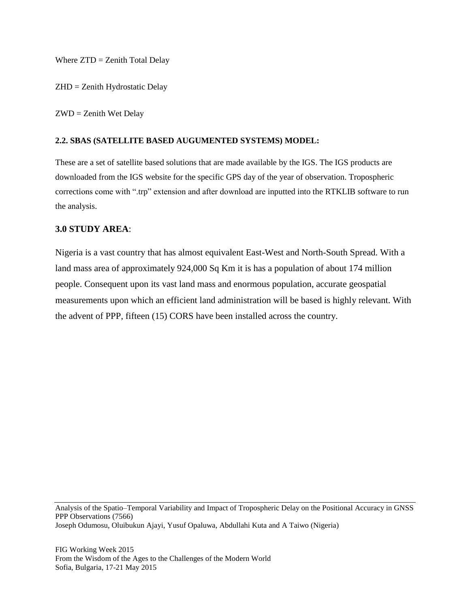Where  $ZTD = Zenith Total Delay$ 

ZHD = Zenith Hydrostatic Delay

ZWD = Zenith Wet Delay

#### **2.2. SBAS (SATELLITE BASED AUGUMENTED SYSTEMS) MODEL:**

These are a set of satellite based solutions that are made available by the IGS. The IGS products are downloaded from the IGS website for the specific GPS day of the year of observation. Tropospheric corrections come with ".trp" extension and after download are inputted into the RTKLIB software to run the analysis.

#### **3.0 STUDY AREA**:

Nigeria is a vast country that has almost equivalent East-West and North-South Spread. With a land mass area of approximately 924,000 Sq Km it is has a population of about 174 million people. Consequent upon its vast land mass and enormous population, accurate geospatial measurements upon which an efficient land administration will be based is highly relevant. With the advent of PPP, fifteen (15) CORS have been installed across the country.

Analysis of the Spatio–Temporal Variability and Impact of Tropospheric Delay on the Positional Accuracy in GNSS PPP Observations (7566) Joseph Odumosu, Oluibukun Ajayi, Yusuf Opaluwa, Abdullahi Kuta and A Taiwo (Nigeria)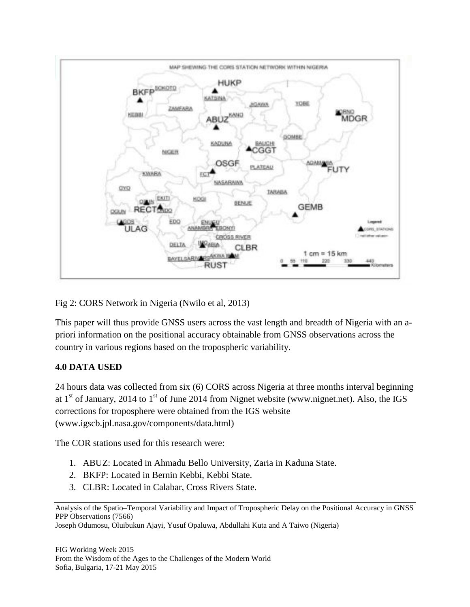

Fig 2: CORS Network in Nigeria (Nwilo et al, 2013)

This paper will thus provide GNSS users across the vast length and breadth of Nigeria with an apriori information on the positional accuracy obtainable from GNSS observations across the country in various regions based on the tropospheric variability.

## **4.0 DATA USED**

24 hours data was collected from six (6) CORS across Nigeria at three months interval beginning at  $1<sup>st</sup>$  of January, 2014 to  $1<sup>st</sup>$  of June 2014 from Nignet website (www.nignet.net). Also, the IGS corrections for troposphere were obtained from the IGS website [\(www.igscb.jpl.nasa.gov/components/data.html\)](http://www.igscb.jpl.nasa.gov/components/data.html)

The COR stations used for this research were:

- 1. ABUZ: Located in Ahmadu Bello University, Zaria in Kaduna State.
- 2. BKFP: Located in Bernin Kebbi, Kebbi State.
- 3. CLBR: Located in Calabar, Cross Rivers State.

Analysis of the Spatio–Temporal Variability and Impact of Tropospheric Delay on the Positional Accuracy in GNSS PPP Observations (7566)

Joseph Odumosu, Oluibukun Ajayi, Yusuf Opaluwa, Abdullahi Kuta and A Taiwo (Nigeria)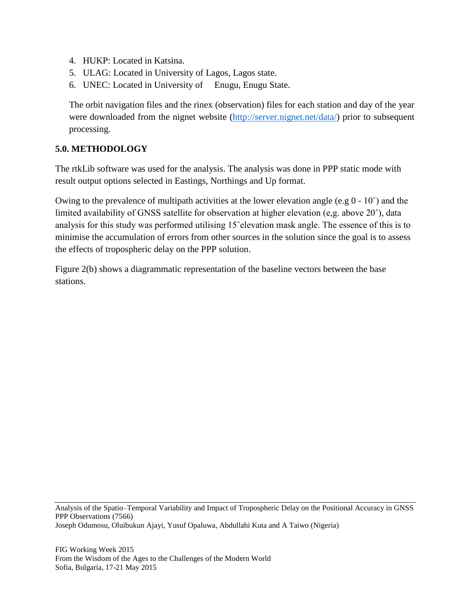- 4. HUKP: Located in Katsina.
- 5. ULAG: Located in University of Lagos, Lagos state.
- 6. UNEC: Located in University of Enugu, Enugu State.

The orbit navigation files and the rinex (observation) files for each station and day of the year were downloaded from the nignet website [\(http://server.nignet.net/data/\)](http://server.nignet.net/data/) prior to subsequent processing.

## **5.0. METHODOLOGY**

The rtkLib software was used for the analysis. The analysis was done in PPP static mode with result output options selected in Eastings, Northings and Up format.

Owing to the prevalence of multipath activities at the lower elevation angle (e.g 0 - 10˚) and the limited availability of GNSS satellite for observation at higher elevation (e,g. above 20˚), data analysis for this study was performed utilising 15˚elevation mask angle. The essence of this is to minimise the accumulation of errors from other sources in the solution since the goal is to assess the effects of tropospheric delay on the PPP solution.

Figure 2(b) shows a diagrammatic representation of the baseline vectors between the base stations.

Analysis of the Spatio–Temporal Variability and Impact of Tropospheric Delay on the Positional Accuracy in GNSS PPP Observations (7566) Joseph Odumosu, Oluibukun Ajayi, Yusuf Opaluwa, Abdullahi Kuta and A Taiwo (Nigeria)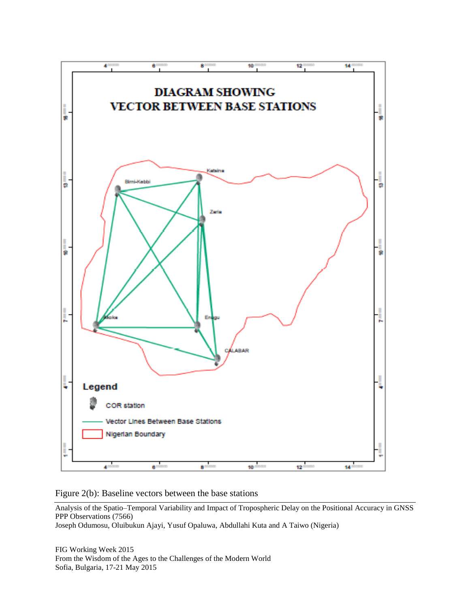

Figure 2(b): Baseline vectors between the base stations

Analysis of the Spatio–Temporal Variability and Impact of Tropospheric Delay on the Positional Accuracy in GNSS PPP Observations (7566)

Joseph Odumosu, Oluibukun Ajayi, Yusuf Opaluwa, Abdullahi Kuta and A Taiwo (Nigeria)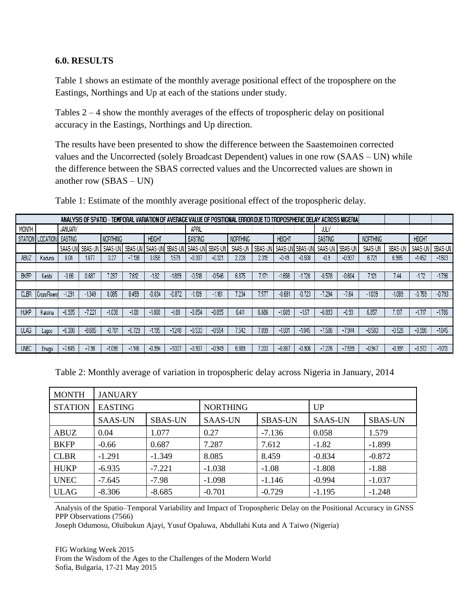#### **6.0. RESULTS**

Table 1 shows an estimate of the monthly average positional effect of the troposphere on the Eastings, Northings and Up at each of the stations under study.

Tables 2 – 4 show the monthly averages of the effects of tropospheric delay on positional accuracy in the Eastings, Northings and Up direction.

The results have been presented to show the difference between the Saastemoinen corrected values and the Uncorrected (solely Broadcast Dependent) values in one row (SAAS – UN) while the difference between the SBAS corrected values and the Uncorrected values are shown in another row (SBAS – UN)

| ANALYSIS OF SPATIO - TEMPORAL VARIATION OF AVERAGE VALUE OF POSITIONAL ERROR DUE TO TROPOSPHERIC DELAY ACROSS NIGERIA |                              |                        |          |                   |          |               |          |                              |          |                 |         |               |                   |                |           |                 |          |               |          |
|-----------------------------------------------------------------------------------------------------------------------|------------------------------|------------------------|----------|-------------------|----------|---------------|----------|------------------------------|----------|-----------------|---------|---------------|-------------------|----------------|-----------|-----------------|----------|---------------|----------|
| MONTH                                                                                                                 |                              | JANUARY                |          |                   |          |               |          | APRIL                        |          |                 |         |               |                   | JULY           |           |                 |          |               |          |
|                                                                                                                       | STATION   LOCATION   EASTING |                        |          | <b>NORTHING</b>   |          | <b>HEIGHT</b> |          | EASTING                      |          | <b>NORTHING</b> |         | <b>HEIGHT</b> |                   | <b>EASTING</b> |           | <b>NORTHING</b> |          | <b>HEIGHT</b> |          |
|                                                                                                                       |                              | I SAAS-UNI             | SBAS-UN  | SAAS-UN I SBAS-UN |          |               |          | I SAAS-UNI SBAS-UNI SAAS-UNI | SBAS-UN  | SAAS-UN         | SBAS-UN |               | SAAS-UNI SBAS-UNI | SAAS-UN        | I SBAS-UN | SAAS-UN         | SBAS-UN  | SAAS-UN       | SBAS-UN  |
| ABUZ                                                                                                                  | Kaduna                       | 0.04                   | 1.077    | 0.27              | $-7.136$ | 0.058         | 1.579    | $-0.307$                     | $-0.321$ | 2.228           | 2.319   | $-0.49$       | $-0.508$          | $-0.9$         | $-0.937$  | 6.721           | 6,985    | $-1.452$      | $-1503$  |
|                                                                                                                       |                              |                        |          |                   |          |               |          |                              |          |                 |         |               |                   |                |           |                 |          |               |          |
| <b>BKFP</b>                                                                                                           | Kebbi                        | $-0.66$                | 0.687    | 7.287             | 7.612    | $-1.82$       | $-1.899$ | $-0.518$                     | $-0.546$ | 6.875           | '171    | $-1.656$      | $-1.726$          | $-0.578$       | $-0.604$  | 7.12°           | 7.44     | $-1.72$       | $-1.796$ |
|                                                                                                                       |                              |                        |          |                   |          |               |          |                              |          |                 |         |               |                   |                |           |                 |          |               |          |
| CLBR                                                                                                                  | Cross RiversI                | $-1.291$               | $-1.349$ | 8.085             | 8.459    | $-0.834$      | $-0.872$ | $-1.109$                     | $-1.161$ | 7.234           | 7.577   | $-0.691$      | $-0.723$          | $-7.294$       | $-7.64$   | $-1.039$        | $-1.089$ | $-0.759$      | $-0.793$ |
|                                                                                                                       |                              |                        |          |                   |          |               |          |                              |          |                 |         |               |                   |                |           |                 |          |               |          |
| <b>HUKP</b>                                                                                                           | Katsina                      | $-6.935$               | $-7.221$ | $-1038$           | $-1.08$  | $-1808$       | $-1.88$  | $-0.854$                     | $-0.895$ | 6.411           | 6.686   | $-1609$       | $-167$            | $-0.893$       | $-0.93$   | 6.857           | 7.137    | $-1.717$      | $-1.786$ |
|                                                                                                                       |                              |                        |          |                   |          |               |          |                              |          |                 |         |               |                   |                |           |                 |          |               |          |
| <b>ULAG</b>                                                                                                           | Lagos                        | $-8.306$               | $-8.685$ | $-0.701$          | $-0.729$ | $-1.195$      | $-1,248$ | $-0.533$                     | $-0.554$ | 7.542           | 7.899   | $-1.001$      | $-1.045$          | $-7.586$       | $-7.944$  | $-0.503$        | $-0.528$ | $-0.998$      | $-1.045$ |
|                                                                                                                       |                              |                        |          |                   |          |               |          |                              |          |                 |         |               |                   |                |           |                 |          |               |          |
| UNEC                                                                                                                  | <b>Enugu</b>                 | .645<br>$\blacksquare$ | $-7.98$  | $-1098$           | $-1.146$ | $-0.994$      | $-1037$  | $-0.907$                     | $-0.949$ | 6,889           | .203    | $-0.867$      | $-0.906$          | $-7.276$       | $-7.599$  | $-0.947$        | $-0.991$ | $-0.972$      | $-1.013$ |

Table 1: Estimate of the monthly average positional effect of the tropospheric delay.

Table 2: Monthly average of variation in tropospheric delay across Nigeria in January, 2014

| <b>MONTH</b>   | <b>JANUARY</b> |                |                 |                |                |                |  |  |  |  |
|----------------|----------------|----------------|-----------------|----------------|----------------|----------------|--|--|--|--|
| <b>STATION</b> | <b>EASTING</b> |                | <b>NORTHING</b> |                | UP             |                |  |  |  |  |
|                | <b>SAAS-UN</b> | <b>SBAS-UN</b> | <b>SAAS-UN</b>  | <b>SBAS-UN</b> | <b>SAAS-UN</b> | <b>SBAS-UN</b> |  |  |  |  |
| ABUZ           | 0.04           | 1.077          | 0.27            | $-7.136$       | 0.058          | 1.579          |  |  |  |  |
| <b>BKFP</b>    | $-0.66$        | 0.687          | 7.287           | 7.612          | $-1.82$        | $-1.899$       |  |  |  |  |
| <b>CLBR</b>    | $-1.291$       | $-1.349$       | 8.085           | 8.459          | $-0.834$       | $-0.872$       |  |  |  |  |
| <b>HUKP</b>    | $-6.935$       | $-7.221$       | $-1.038$        | $-1.08$        | $-1.808$       | $-1.88$        |  |  |  |  |
| <b>UNEC</b>    | $-7.645$       | $-7.98$        | $-1.098$        | $-1.146$       | $-0.994$       | $-1.037$       |  |  |  |  |
| <b>ULAG</b>    | $-8.306$       | $-8.685$       | $-0.701$        | $-0.729$       | $-1.195$       | $-1.248$       |  |  |  |  |

Analysis of the Spatio–Temporal Variability and Impact of Tropospheric Delay on the Positional Accuracy in GNSS PPP Observations (7566)

Joseph Odumosu, Oluibukun Ajayi, Yusuf Opaluwa, Abdullahi Kuta and A Taiwo (Nigeria)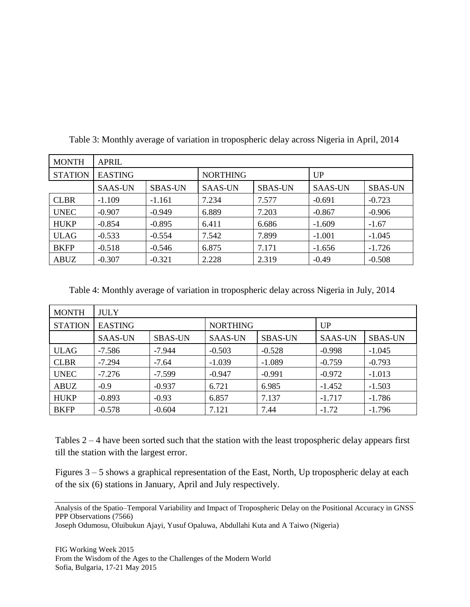| <b>MONTH</b>   | <b>APRIL</b>   |                |                 |                |                |                |  |  |  |  |  |
|----------------|----------------|----------------|-----------------|----------------|----------------|----------------|--|--|--|--|--|
| <b>STATION</b> | <b>EASTING</b> |                | <b>NORTHING</b> |                | UP             |                |  |  |  |  |  |
|                | <b>SAAS-UN</b> | <b>SBAS-UN</b> | <b>SAAS-UN</b>  | <b>SBAS-UN</b> | <b>SAAS-UN</b> | <b>SBAS-UN</b> |  |  |  |  |  |
| <b>CLBR</b>    | $-1.109$       | $-1.161$       | 7.234           | 7.577          | $-0.691$       | $-0.723$       |  |  |  |  |  |
| <b>UNEC</b>    | $-0.907$       | $-0.949$       | 6.889           | 7.203          | $-0.867$       | $-0.906$       |  |  |  |  |  |
| <b>HUKP</b>    | $-0.854$       | $-0.895$       | 6.411           | 6.686          | $-1.609$       | $-1.67$        |  |  |  |  |  |
| <b>ULAG</b>    | $-0.533$       | $-0.554$       | 7.542           | 7.899          | $-1.001$       | $-1.045$       |  |  |  |  |  |
| <b>BKFP</b>    | $-0.518$       | $-0.546$       | 6.875           | 7.171          | $-1.656$       | $-1.726$       |  |  |  |  |  |
| ABUZ           | $-0.307$       | $-0.321$       | 2.228           | 2.319          | $-0.49$        | $-0.508$       |  |  |  |  |  |

Table 3: Monthly average of variation in tropospheric delay across Nigeria in April, 2014

Table 4: Monthly average of variation in tropospheric delay across Nigeria in July, 2014

| <b>MONTH</b>   | <b>JULY</b>    |                |                 |                |                |                |  |  |  |  |  |
|----------------|----------------|----------------|-----------------|----------------|----------------|----------------|--|--|--|--|--|
| <b>STATION</b> | <b>EASTING</b> |                | <b>NORTHING</b> |                | UP             |                |  |  |  |  |  |
|                | <b>SAAS-UN</b> | <b>SBAS-UN</b> | <b>SAAS-UN</b>  | <b>SBAS-UN</b> | <b>SAAS-UN</b> | <b>SBAS-UN</b> |  |  |  |  |  |
| ULAG           | $-7.586$       | -7.944         | $-0.503$        | $-0.528$       | $-0.998$       | $-1.045$       |  |  |  |  |  |
| <b>CLBR</b>    | $-7.294$       | $-7.64$        | $-1.039$        | $-1.089$       | $-0.759$       | $-0.793$       |  |  |  |  |  |
| <b>UNEC</b>    | $-7.276$       | $-7.599$       | $-0.947$        | $-0.991$       | $-0.972$       | $-1.013$       |  |  |  |  |  |
| ABUZ           | $-0.9$         | $-0.937$       | 6.721           | 6.985          | $-1.452$       | $-1.503$       |  |  |  |  |  |
| <b>HUKP</b>    | $-0.893$       | $-0.93$        | 6.857           | 7.137          | $-1.717$       | $-1.786$       |  |  |  |  |  |
| <b>BKFP</b>    | $-0.578$       | $-0.604$       | 7.121           | 7.44           | $-1.72$        | $-1.796$       |  |  |  |  |  |

Tables  $2 - 4$  have been sorted such that the station with the least tropospheric delay appears first till the station with the largest error.

Figures 3 – 5 shows a graphical representation of the East, North, Up tropospheric delay at each of the six (6) stations in January, April and July respectively.

Analysis of the Spatio–Temporal Variability and Impact of Tropospheric Delay on the Positional Accuracy in GNSS PPP Observations (7566)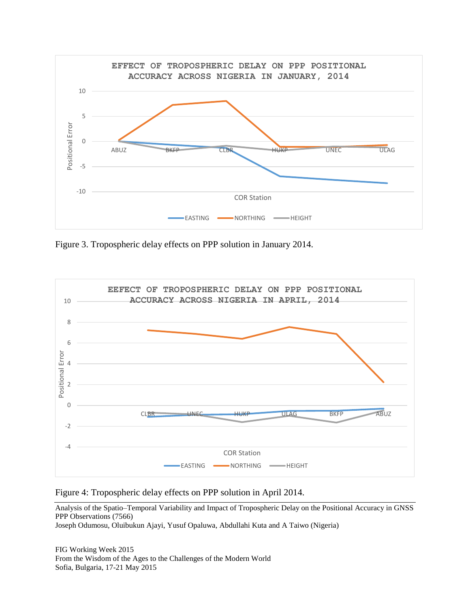

Figure 3. Tropospheric delay effects on PPP solution in January 2014.



Figure 4: Tropospheric delay effects on PPP solution in April 2014.

Analysis of the Spatio–Temporal Variability and Impact of Tropospheric Delay on the Positional Accuracy in GNSS PPP Observations (7566)

Joseph Odumosu, Oluibukun Ajayi, Yusuf Opaluwa, Abdullahi Kuta and A Taiwo (Nigeria)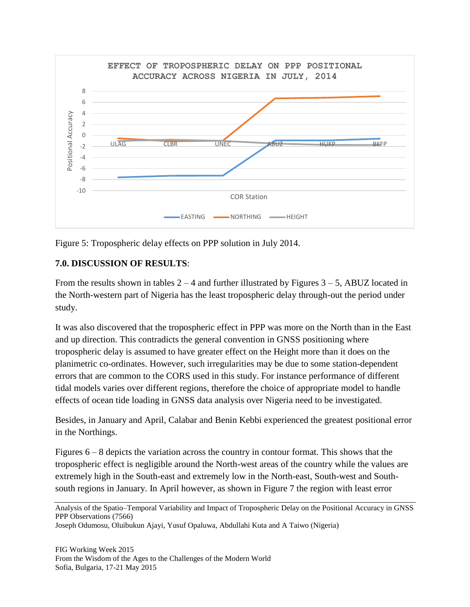

Figure 5: Tropospheric delay effects on PPP solution in July 2014.

## **7.0. DISCUSSION OF RESULTS**:

From the results shown in tables  $2 - 4$  and further illustrated by Figures  $3 - 5$ , ABUZ located in the North-western part of Nigeria has the least tropospheric delay through-out the period under study.

It was also discovered that the tropospheric effect in PPP was more on the North than in the East and up direction. This contradicts the general convention in GNSS positioning where tropospheric delay is assumed to have greater effect on the Height more than it does on the planimetric co-ordinates. However, such irregularities may be due to some station-dependent errors that are common to the CORS used in this study. For instance performance of different tidal models varies over different regions, therefore the choice of appropriate model to handle effects of ocean tide loading in GNSS data analysis over Nigeria need to be investigated.

Besides, in January and April, Calabar and Benin Kebbi experienced the greatest positional error in the Northings.

Figures 6 – 8 depicts the variation across the country in contour format. This shows that the tropospheric effect is negligible around the North-west areas of the country while the values are extremely high in the South-east and extremely low in the North-east, South-west and Southsouth regions in January. In April however, as shown in Figure 7 the region with least error

Analysis of the Spatio–Temporal Variability and Impact of Tropospheric Delay on the Positional Accuracy in GNSS PPP Observations (7566)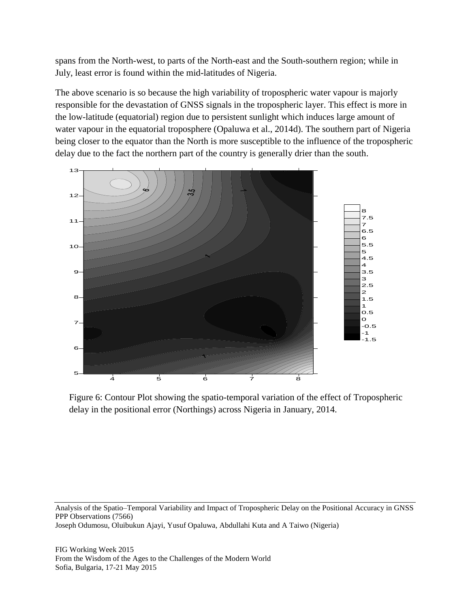spans from the North-west, to parts of the North-east and the South-southern region; while in July, least error is found within the mid-latitudes of Nigeria.

The above scenario is so because the high variability of tropospheric water vapour is majorly responsible for the devastation of GNSS signals in the tropospheric layer. This effect is more in the low-latitude (equatorial) region due to persistent sunlight which induces large amount of water vapour in the equatorial troposphere (Opaluwa et al., 2014d). The southern part of Nigeria being closer to the equator than the North is more susceptible to the influence of the tropospheric delay due to the fact the northern part of the country is generally drier than the south.



Figure 6: Contour Plot showing the spatio-temporal variation of the effect of Tropospheric delay in the positional error (Northings) across Nigeria in January, 2014.

Analysis of the Spatio–Temporal Variability and Impact of Tropospheric Delay on the Positional Accuracy in GNSS PPP Observations (7566) Joseph Odumosu, Oluibukun Ajayi, Yusuf Opaluwa, Abdullahi Kuta and A Taiwo (Nigeria)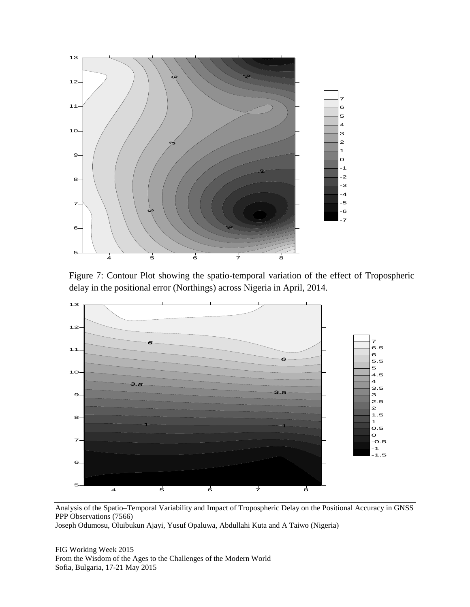

Figure 7: Contour Plot showing the spatio-temporal variation of the effect of Tropospheric delay in the positional error (Northings) across Nigeria in April, 2014.



Analysis of the Spatio–Temporal Variability and Impact of Tropospheric Delay on the Positional Accuracy in GNSS PPP Observations (7566)

Joseph Odumosu, Oluibukun Ajayi, Yusuf Opaluwa, Abdullahi Kuta and A Taiwo (Nigeria)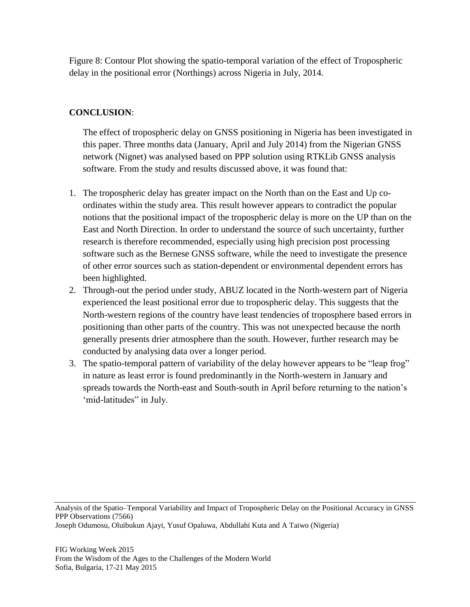Figure 8: Contour Plot showing the spatio-temporal variation of the effect of Tropospheric delay in the positional error (Northings) across Nigeria in July, 2014.

## **CONCLUSION**:

The effect of tropospheric delay on GNSS positioning in Nigeria has been investigated in this paper. Three months data (January, April and July 2014) from the Nigerian GNSS network (Nignet) was analysed based on PPP solution using RTKLib GNSS analysis software. From the study and results discussed above, it was found that:

- 1. The tropospheric delay has greater impact on the North than on the East and Up coordinates within the study area. This result however appears to contradict the popular notions that the positional impact of the tropospheric delay is more on the UP than on the East and North Direction. In order to understand the source of such uncertainty, further research is therefore recommended, especially using high precision post processing software such as the Bernese GNSS software, while the need to investigate the presence of other error sources such as station-dependent or environmental dependent errors has been highlighted.
- 2. Through-out the period under study, ABUZ located in the North-western part of Nigeria experienced the least positional error due to tropospheric delay. This suggests that the North-western regions of the country have least tendencies of troposphere based errors in positioning than other parts of the country. This was not unexpected because the north generally presents drier atmosphere than the south. However, further research may be conducted by analysing data over a longer period.
- 3. The spatio-temporal pattern of variability of the delay however appears to be "leap frog" in nature as least error is found predominantly in the North-western in January and spreads towards the North-east and South-south in April before returning to the nation's 'mid-latitudes" in July.

Analysis of the Spatio–Temporal Variability and Impact of Tropospheric Delay on the Positional Accuracy in GNSS PPP Observations (7566)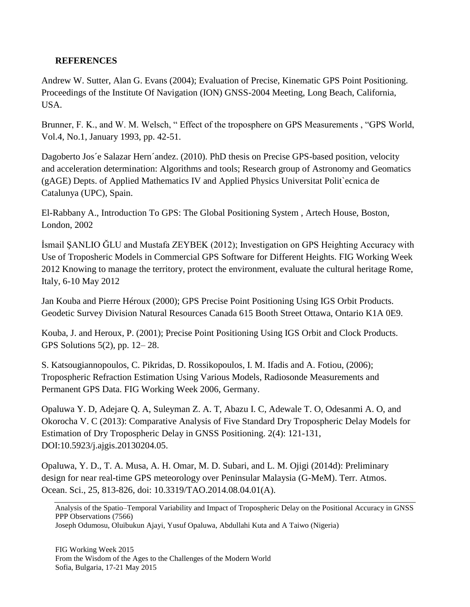#### **REFERENCES**

Andrew W. Sutter, Alan G. Evans (2004); Evaluation of Precise, Kinematic GPS Point Positioning. Proceedings of the Institute Of Navigation (ION) GNSS-2004 Meeting, Long Beach, California, USA.

Brunner, F. K., and W. M. Welsch, " Effect of the troposphere on GPS Measurements , "GPS World, Vol.4, No.1, January 1993, pp. 42-51.

Dagoberto Jos´e Salazar Hern´andez. (2010). PhD thesis on Precise GPS-based position, velocity and acceleration determination: Algorithms and tools; Research group of Astronomy and Geomatics (gAGE) Depts. of Applied Mathematics IV and Applied Physics Universitat Polit`ecnica de Catalunya (UPC), Spain.

El-Rabbany A., Introduction To GPS: The Global Positioning System , Artech House, Boston, London, 2002

İsmail ŞANLIO ĞLU and Mustafa ZEYBEK (2012); Investigation on GPS Heighting Accuracy with Use of Troposheric Models in Commercial GPS Software for Different Heights. FIG Working Week 2012 Knowing to manage the territory, protect the environment, evaluate the cultural heritage Rome, Italy, 6-10 May 2012

Jan Kouba and Pierre Héroux (2000); GPS Precise Point Positioning Using IGS Orbit Products. Geodetic Survey Division Natural Resources Canada 615 Booth Street Ottawa, Ontario K1A 0E9.

Kouba, J. and Heroux, P. (2001); Precise Point Positioning Using IGS Orbit and Clock Products. GPS Solutions 5(2), pp. 12– 28.

S. Katsougiannopoulos, C. Pikridas, D. Rossikopoulos, I. M. Ifadis and A. Fotiou, (2006); Tropospheric Refraction Estimation Using Various Models, Radiosonde Measurements and Permanent GPS Data. FIG Working Week 2006, Germany.

Opaluwa Y. D, Adejare Q. A, Suleyman Z. A. T, Abazu I. C, Adewale T. O, Odesanmi A. O, and Okorocha V. C (2013): Comparative Analysis of Five Standard Dry Tropospheric Delay Models for Estimation of Dry Tropospheric Delay in GNSS Positioning. 2(4): 121-131, DOI:10.5923/j.ajgis.20130204.05.

Opaluwa, Y. D., T. A. Musa, A. H. Omar, M. D. Subari, and L. M. Ojigi (2014d): Preliminary design for near real-time GPS meteorology over Peninsular Malaysia (G-MeM). Terr. Atmos. Ocean. Sci., 25, 813-826, doi: 10.3319/TAO.2014.08.04.01(A).

Analysis of the Spatio–Temporal Variability and Impact of Tropospheric Delay on the Positional Accuracy in GNSS PPP Observations (7566)

Joseph Odumosu, Oluibukun Ajayi, Yusuf Opaluwa, Abdullahi Kuta and A Taiwo (Nigeria)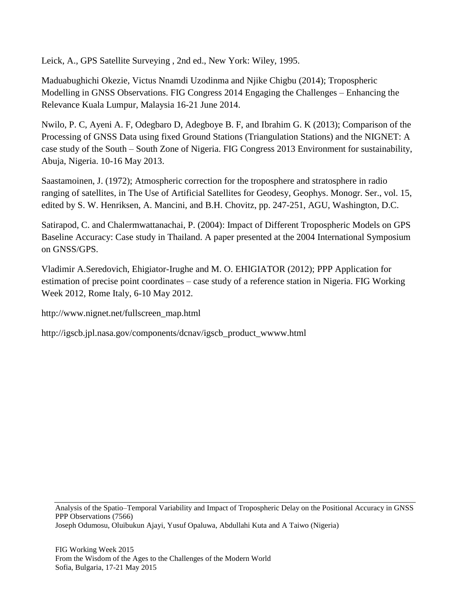Leick, A., GPS Satellite Surveying , 2nd ed., New York: Wiley, 1995.

Maduabughichi Okezie, Victus Nnamdi Uzodinma and Njike Chigbu (2014); Tropospheric Modelling in GNSS Observations. FIG Congress 2014 Engaging the Challenges – Enhancing the Relevance Kuala Lumpur, Malaysia 16-21 June 2014.

Nwilo, P. C, Ayeni A. F, Odegbaro D, Adegboye B. F, and Ibrahim G. K (2013); Comparison of the Processing of GNSS Data using fixed Ground Stations (Triangulation Stations) and the NIGNET: A case study of the South – South Zone of Nigeria. FIG Congress 2013 Environment for sustainability, Abuja, Nigeria. 10-16 May 2013.

Saastamoinen, J. (1972); Atmospheric correction for the troposphere and stratosphere in radio ranging of satellites, in The Use of Artificial Satellites for Geodesy, Geophys. Monogr. Ser., vol. 15, edited by S. W. Henriksen, A. Mancini, and B.H. Chovitz, pp. 247-251, AGU, Washington, D.C.

Satirapod, C. and Chalermwattanachai, P. (2004): Impact of Different Tropospheric Models on GPS Baseline Accuracy: Case study in Thailand. A paper presented at the 2004 International Symposium on GNSS/GPS.

Vladimir A.Seredovich, Ehigiator-Irughe and M. O. EHIGIATOR (2012); PPP Application for estimation of precise point coordinates – case study of a reference station in Nigeria. FIG Working Week 2012, Rome Italy, 6-10 May 2012.

[http://www.nignet.net/fullscreen\\_map.html](http://www.nignet.net/fullscreen_map.html)

[http://igscb.jpl.nasa.gov/components/dcnav/igscb\\_product\\_wwww.html](http://igscb.jpl.nasa.gov/components/dcnav/igscb_product_wwww.html)

Analysis of the Spatio–Temporal Variability and Impact of Tropospheric Delay on the Positional Accuracy in GNSS PPP Observations (7566) Joseph Odumosu, Oluibukun Ajayi, Yusuf Opaluwa, Abdullahi Kuta and A Taiwo (Nigeria)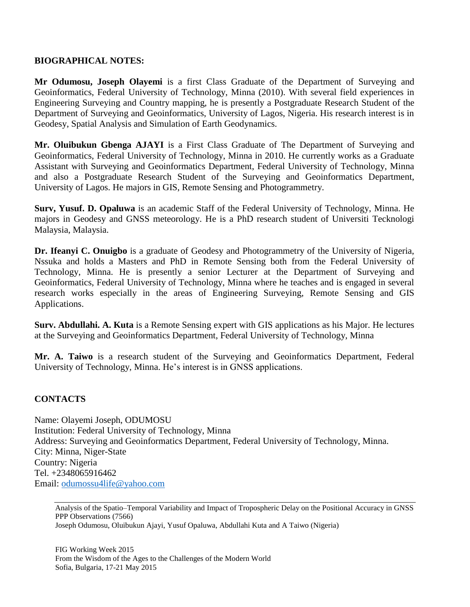#### **BIOGRAPHICAL NOTES:**

**Mr Odumosu, Joseph Olayemi** is a first Class Graduate of the Department of Surveying and Geoinformatics, Federal University of Technology, Minna (2010). With several field experiences in Engineering Surveying and Country mapping, he is presently a Postgraduate Research Student of the Department of Surveying and Geoinformatics, University of Lagos, Nigeria. His research interest is in Geodesy, Spatial Analysis and Simulation of Earth Geodynamics.

**Mr. Oluibukun Gbenga AJAYI** is a First Class Graduate of The Department of Surveying and Geoinformatics, Federal University of Technology, Minna in 2010. He currently works as a Graduate Assistant with Surveying and Geoinformatics Department, Federal University of Technology, Minna and also a Postgraduate Research Student of the Surveying and Geoinformatics Department, University of Lagos. He majors in GIS, Remote Sensing and Photogrammetry.

**Surv, Yusuf. D. Opaluwa** is an academic Staff of the Federal University of Technology, Minna. He majors in Geodesy and GNSS meteorology. He is a PhD research student of Universiti Tecknologi Malaysia, Malaysia.

**Dr. Ifeanyi C. Onuigbo** is a graduate of Geodesy and Photogrammetry of the University of Nigeria, Nssuka and holds a Masters and PhD in Remote Sensing both from the Federal University of Technology, Minna. He is presently a senior Lecturer at the Department of Surveying and Geoinformatics, Federal University of Technology, Minna where he teaches and is engaged in several research works especially in the areas of Engineering Surveying, Remote Sensing and GIS Applications.

**Surv. Abdullahi. A. Kuta** is a Remote Sensing expert with GIS applications as his Major. He lectures at the Surveying and Geoinformatics Department, Federal University of Technology, Minna

**Mr. A. Taiwo** is a research student of the Surveying and Geoinformatics Department, Federal University of Technology, Minna. He's interest is in GNSS applications.

## **CONTACTS**

Name: Olayemi Joseph, ODUMOSU Institution: Federal University of Technology, Minna Address: Surveying and Geoinformatics Department, Federal University of Technology, Minna. City: Minna, Niger-State Country: Nigeria Tel. +2348065916462 Email: [odumossu4life@yahoo.com](mailto:odumossu4life@yahoo.com)

Analysis of the Spatio–Temporal Variability and Impact of Tropospheric Delay on the Positional Accuracy in GNSS PPP Observations (7566) Joseph Odumosu, Oluibukun Ajayi, Yusuf Opaluwa, Abdullahi Kuta and A Taiwo (Nigeria)